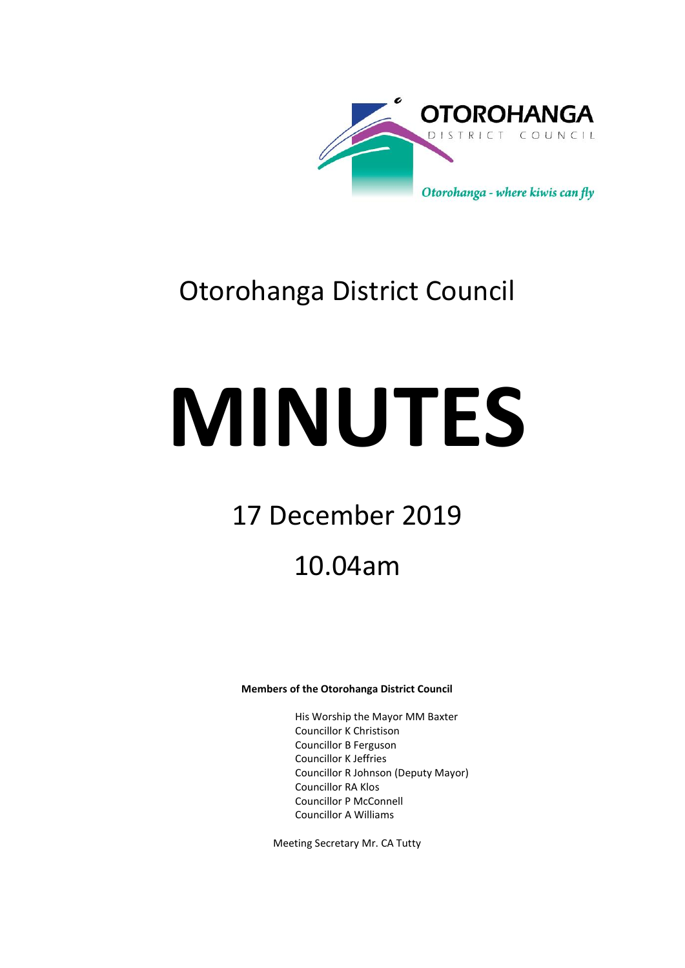

# Otorohanga District Council

# **MINUTES**

# 17 December 2019

# 10.04am

# **Members of the Otorohanga District Council**

His Worship the Mayor MM Baxter Councillor K Christison Councillor B Ferguson Councillor K Jeffries Councillor R Johnson (Deputy Mayor) Councillor RA Klos Councillor P McConnell Councillor A Williams

Meeting Secretary Mr. CA Tutty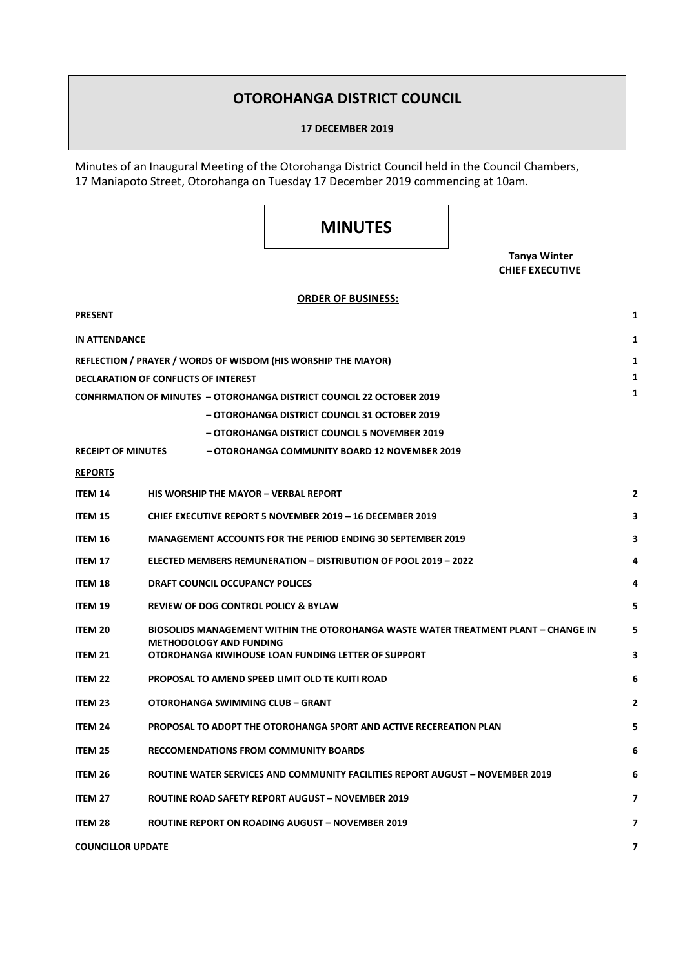# **OTOROHANGA DISTRICT COUNCIL**

#### **17 DECEMBER 2019**

Minutes of an Inaugural Meeting of the Otorohanga District Council held in the Council Chambers, 17 Maniapoto Street, Otorohanga on Tuesday 17 December 2019 commencing at 10am.

# **MINUTES**

# **Tanya Winter CHIEF EXECUTIVE**

# **ORDER OF BUSINESS:**

| <b>PRESENT</b>                                                               |                                                                                       | 1              |  |
|------------------------------------------------------------------------------|---------------------------------------------------------------------------------------|----------------|--|
| <b>IN ATTENDANCE</b>                                                         |                                                                                       | 1              |  |
|                                                                              | REFLECTION / PRAYER / WORDS OF WISDOM (HIS WORSHIP THE MAYOR)                         | 1              |  |
| <b>DECLARATION OF CONFLICTS OF INTEREST</b>                                  |                                                                                       |                |  |
| <b>CONFIRMATION OF MINUTES - OTOROHANGA DISTRICT COUNCIL 22 OCTOBER 2019</b> |                                                                                       |                |  |
|                                                                              | - OTOROHANGA DISTRICT COUNCIL 31 OCTOBER 2019                                         |                |  |
|                                                                              | - OTOROHANGA DISTRICT COUNCIL 5 NOVEMBER 2019                                         |                |  |
| <b>RECEIPT OF MINUTES</b>                                                    | - OTOROHANGA COMMUNITY BOARD 12 NOVEMBER 2019                                         |                |  |
| <b>REPORTS</b>                                                               |                                                                                       |                |  |
| <b>ITEM 14</b>                                                               | <b>HIS WORSHIP THE MAYOR - VERBAL REPORT</b>                                          | $\overline{2}$ |  |
| <b>ITEM 15</b>                                                               | CHIEF EXECUTIVE REPORT 5 NOVEMBER 2019 - 16 DECEMBER 2019                             | 3              |  |
| <b>ITEM 16</b>                                                               | <b>MANAGEMENT ACCOUNTS FOR THE PERIOD ENDING 30 SEPTEMBER 2019</b>                    | 3              |  |
| <b>ITEM 17</b>                                                               | ELECTED MEMBERS REMUNERATION - DISTRIBUTION OF POOL 2019 - 2022                       | 4              |  |
| <b>ITEM 18</b>                                                               | <b>DRAFT COUNCIL OCCUPANCY POLICES</b>                                                | 4              |  |
| <b>ITEM 19</b>                                                               | <b>REVIEW OF DOG CONTROL POLICY &amp; BYLAW</b>                                       | 5              |  |
| <b>ITEM 20</b>                                                               | BIOSOLIDS MANAGEMENT WITHIN THE OTOROHANGA WASTE WATER TREATMENT PLANT - CHANGE IN    |                |  |
| ITEM 21                                                                      | <b>METHODOLOGY AND FUNDING</b><br>OTOROHANGA KIWIHOUSE LOAN FUNDING LETTER OF SUPPORT |                |  |
| ITEM <sub>22</sub>                                                           | PROPOSAL TO AMEND SPEED LIMIT OLD TE KUITI ROAD                                       |                |  |
| <b>ITEM 23</b>                                                               | OTOROHANGA SWIMMING CLUB - GRANT                                                      | $\mathbf{2}$   |  |
| <b>ITEM 24</b>                                                               | PROPOSAL TO ADOPT THE OTOROHANGA SPORT AND ACTIVE RECEREATION PLAN                    | 5              |  |
| <b>ITEM 25</b>                                                               | <b>RECCOMENDATIONS FROM COMMUNITY BOARDS</b>                                          | 6              |  |
| ITEM 26                                                                      | ROUTINE WATER SERVICES AND COMMUNITY FACILITIES REPORT AUGUST - NOVEMBER 2019         | 6              |  |
| <b>ITEM 27</b>                                                               | <b>ROUTINE ROAD SAFETY REPORT AUGUST - NOVEMBER 2019</b>                              | 7              |  |
| <b>ITEM 28</b>                                                               | <b>ROUTINE REPORT ON ROADING AUGUST - NOVEMBER 2019</b>                               | 7              |  |
| <b>COUNCILLOR UPDATE</b>                                                     |                                                                                       |                |  |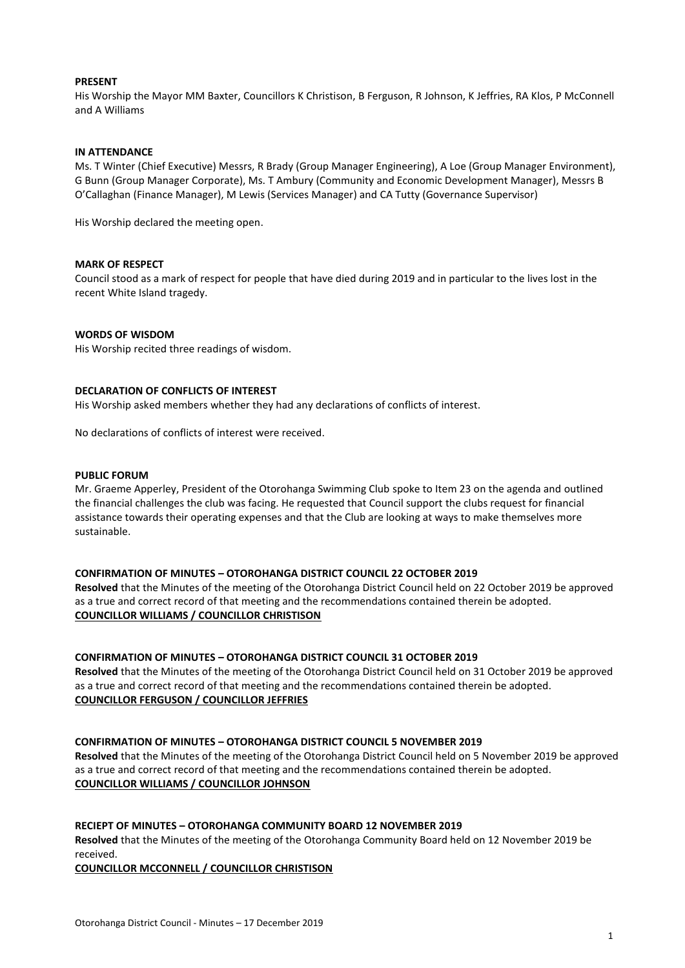## **PRESENT**

His Worship the Mayor MM Baxter, Councillors K Christison, B Ferguson, R Johnson, K Jeffries, RA Klos, P McConnell and A Williams

#### **IN ATTENDANCE**

Ms. T Winter (Chief Executive) Messrs, R Brady (Group Manager Engineering), A Loe (Group Manager Environment), G Bunn (Group Manager Corporate), Ms. T Ambury (Community and Economic Development Manager), Messrs B O'Callaghan (Finance Manager), M Lewis (Services Manager) and CA Tutty (Governance Supervisor)

His Worship declared the meeting open.

#### **MARK OF RESPECT**

Council stood as a mark of respect for people that have died during 2019 and in particular to the lives lost in the recent White Island tragedy.

#### **WORDS OF WISDOM**

His Worship recited three readings of wisdom.

#### **DECLARATION OF CONFLICTS OF INTEREST**

His Worship asked members whether they had any declarations of conflicts of interest.

No declarations of conflicts of interest were received.

#### **PUBLIC FORUM**

Mr. Graeme Apperley, President of the Otorohanga Swimming Club spoke to Item 23 on the agenda and outlined the financial challenges the club was facing. He requested that Council support the clubs request for financial assistance towards their operating expenses and that the Club are looking at ways to make themselves more sustainable.

#### **CONFIRMATION OF MINUTES – OTOROHANGA DISTRICT COUNCIL 22 OCTOBER 2019**

**Resolved** that the Minutes of the meeting of the Otorohanga District Council held on 22 October 2019 be approved as a true and correct record of that meeting and the recommendations contained therein be adopted. **COUNCILLOR WILLIAMS / COUNCILLOR CHRISTISON**

#### **CONFIRMATION OF MINUTES – OTOROHANGA DISTRICT COUNCIL 31 OCTOBER 2019**

**Resolved** that the Minutes of the meeting of the Otorohanga District Council held on 31 October 2019 be approved as a true and correct record of that meeting and the recommendations contained therein be adopted. **COUNCILLOR FERGUSON / COUNCILLOR JEFFRIES**

#### **CONFIRMATION OF MINUTES – OTOROHANGA DISTRICT COUNCIL 5 NOVEMBER 2019**

**Resolved** that the Minutes of the meeting of the Otorohanga District Council held on 5 November 2019 be approved as a true and correct record of that meeting and the recommendations contained therein be adopted. **COUNCILLOR WILLIAMS / COUNCILLOR JOHNSON**

#### **RECIEPT OF MINUTES – OTOROHANGA COMMUNITY BOARD 12 NOVEMBER 2019**

**Resolved** that the Minutes of the meeting of the Otorohanga Community Board held on 12 November 2019 be received.

**COUNCILLOR MCCONNELL / COUNCILLOR CHRISTISON**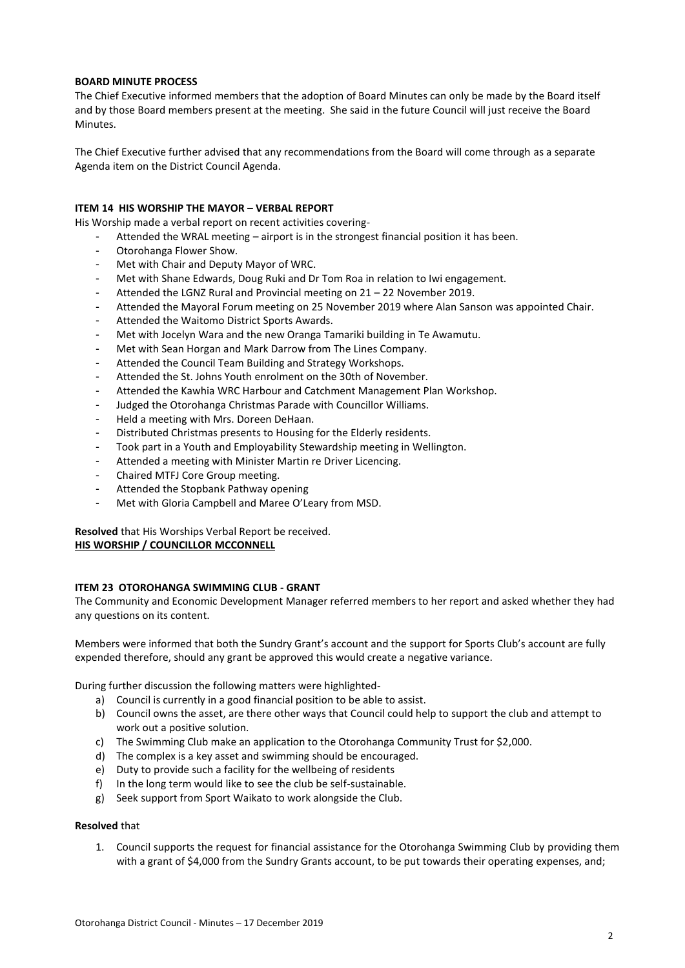# **BOARD MINUTE PROCESS**

The Chief Executive informed members that the adoption of Board Minutes can only be made by the Board itself and by those Board members present at the meeting. She said in the future Council will just receive the Board Minutes.

The Chief Executive further advised that any recommendations from the Board will come through as a separate Agenda item on the District Council Agenda.

# **ITEM 14 HIS WORSHIP THE MAYOR – VERBAL REPORT**

His Worship made a verbal report on recent activities covering-

- Attended the WRAL meeting airport is in the strongest financial position it has been.
- Otorohanga Flower Show.
- Met with Chair and Deputy Mayor of WRC.
- Met with Shane Edwards, Doug Ruki and Dr Tom Roa in relation to Iwi engagement.
- Attended the LGNZ Rural and Provincial meeting on 21 22 November 2019.
- Attended the Mayoral Forum meeting on 25 November 2019 where Alan Sanson was appointed Chair.
- Attended the Waitomo District Sports Awards.
- Met with Jocelyn Wara and the new Oranga Tamariki building in Te Awamutu.
- Met with Sean Horgan and Mark Darrow from The Lines Company.
- Attended the Council Team Building and Strategy Workshops.
- Attended the St. Johns Youth enrolment on the 30th of November.
- Attended the Kawhia WRC Harbour and Catchment Management Plan Workshop.
- Judged the Otorohanga Christmas Parade with Councillor Williams.
- Held a meeting with Mrs. Doreen DeHaan.
- Distributed Christmas presents to Housing for the Elderly residents.
- Took part in a Youth and Employability Stewardship meeting in Wellington.
- Attended a meeting with Minister Martin re Driver Licencing.
- Chaired MTFJ Core Group meeting.
- Attended the Stopbank Pathway opening
- Met with Gloria Campbell and Maree O'Leary from MSD.

**Resolved** that His Worships Verbal Report be received. **HIS WORSHIP / COUNCILLOR MCCONNELL**

# **ITEM 23 OTOROHANGA SWIMMING CLUB - GRANT**

The Community and Economic Development Manager referred members to her report and asked whether they had any questions on its content.

Members were informed that both the Sundry Grant's account and the support for Sports Club's account are fully expended therefore, should any grant be approved this would create a negative variance.

During further discussion the following matters were highlighted-

- a) Council is currently in a good financial position to be able to assist.
- b) Council owns the asset, are there other ways that Council could help to support the club and attempt to work out a positive solution.
- c) The Swimming Club make an application to the Otorohanga Community Trust for \$2,000.
- d) The complex is a key asset and swimming should be encouraged.
- e) Duty to provide such a facility for the wellbeing of residents
- f) In the long term would like to see the club be self-sustainable.
- g) Seek support from Sport Waikato to work alongside the Club.

## **Resolved** that

1. Council supports the request for financial assistance for the Otorohanga Swimming Club by providing them with a grant of \$4,000 from the Sundry Grants account, to be put towards their operating expenses, and;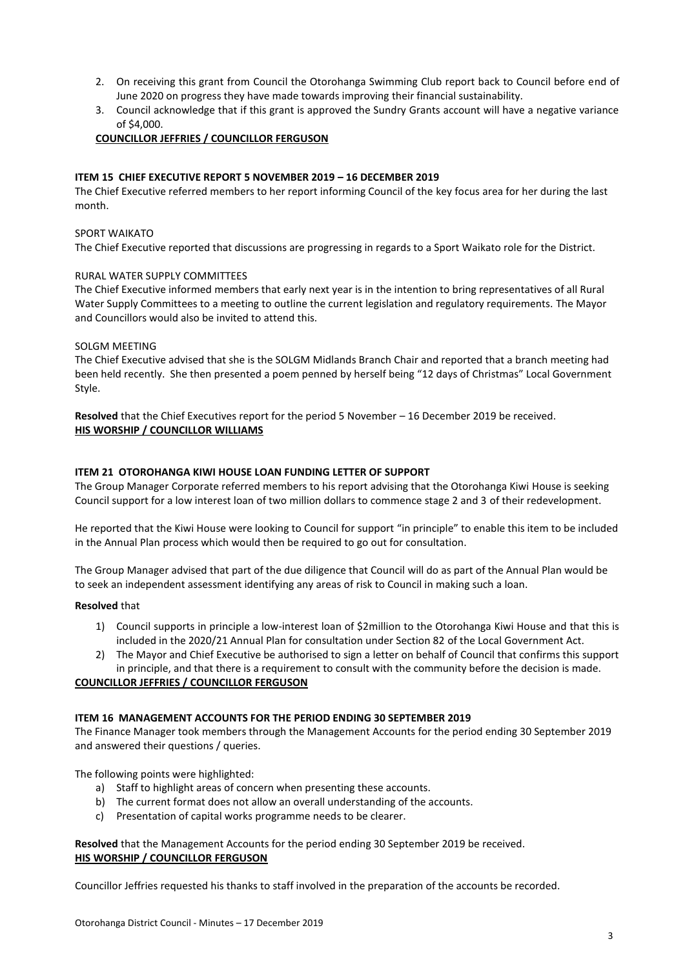- 2. On receiving this grant from Council the Otorohanga Swimming Club report back to Council before end of June 2020 on progress they have made towards improving their financial sustainability.
- 3. Council acknowledge that if this grant is approved the Sundry Grants account will have a negative variance of \$4,000.

# **COUNCILLOR JEFFRIES / COUNCILLOR FERGUSON**

# **ITEM 15 CHIEF EXECUTIVE REPORT 5 NOVEMBER 2019 – 16 DECEMBER 2019**

The Chief Executive referred members to her report informing Council of the key focus area for her during the last month.

#### SPORT WAIKATO

The Chief Executive reported that discussions are progressing in regards to a Sport Waikato role for the District.

#### RURAL WATER SUPPLY COMMITTEES

The Chief Executive informed members that early next year is in the intention to bring representatives of all Rural Water Supply Committees to a meeting to outline the current legislation and regulatory requirements. The Mayor and Councillors would also be invited to attend this.

#### SOLGM MEETING

The Chief Executive advised that she is the SOLGM Midlands Branch Chair and reported that a branch meeting had been held recently. She then presented a poem penned by herself being "12 days of Christmas" Local Government Style.

**Resolved** that the Chief Executives report for the period 5 November – 16 December 2019 be received. **HIS WORSHIP / COUNCILLOR WILLIAMS**

#### **ITEM 21 OTOROHANGA KIWI HOUSE LOAN FUNDING LETTER OF SUPPORT**

The Group Manager Corporate referred members to his report advising that the Otorohanga Kiwi House is seeking Council support for a low interest loan of two million dollars to commence stage 2 and 3 of their redevelopment.

He reported that the Kiwi House were looking to Council for support "in principle" to enable this item to be included in the Annual Plan process which would then be required to go out for consultation.

The Group Manager advised that part of the due diligence that Council will do as part of the Annual Plan would be to seek an independent assessment identifying any areas of risk to Council in making such a loan.

#### **Resolved** that

- 1) Council supports in principle a low-interest loan of \$2million to the Otorohanga Kiwi House and that this is included in the 2020/21 Annual Plan for consultation under Section 82 of the Local Government Act.
- 2) The Mayor and Chief Executive be authorised to sign a letter on behalf of Council that confirms this support in principle, and that there is a requirement to consult with the community before the decision is made.

# **COUNCILLOR JEFFRIES / COUNCILLOR FERGUSON**

#### **ITEM 16 MANAGEMENT ACCOUNTS FOR THE PERIOD ENDING 30 SEPTEMBER 2019**

The Finance Manager took members through the Management Accounts for the period ending 30 September 2019 and answered their questions / queries.

The following points were highlighted:

- a) Staff to highlight areas of concern when presenting these accounts.
- b) The current format does not allow an overall understanding of the accounts.
- c) Presentation of capital works programme needs to be clearer.

**Resolved** that the Management Accounts for the period ending 30 September 2019 be received. **HIS WORSHIP / COUNCILLOR FERGUSON**

Councillor Jeffries requested his thanks to staff involved in the preparation of the accounts be recorded.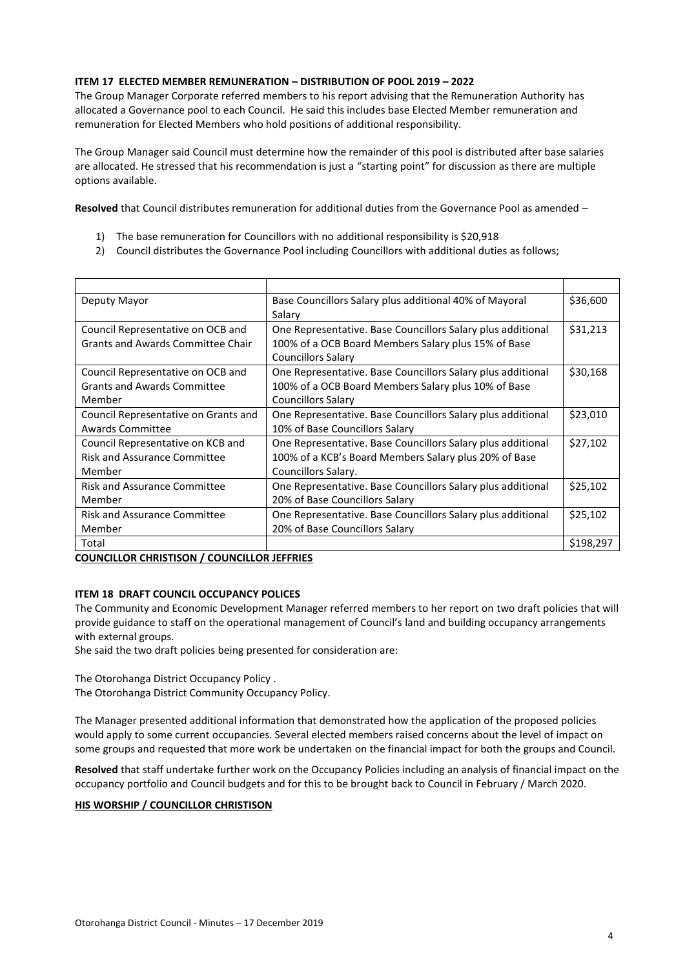# **ITEM 17 ELECTED MEMBER REMUNERATION – DISTRIBUTION OF POOL 2019 – 2022**

The Group Manager Corporate referred members to his report advising that the Remuneration Authority has allocated a Governance pool to each Council. He said this includes base Elected Member remuneration and remuneration for Elected Members who hold positions of additional responsibility.

The Group Manager said Council must determine how the remainder of this pool is distributed after base salaries are allocated. He stressed that his recommendation is just a "starting point" for discussion as there are multiple options available.

**Resolved** that Council distributes remuneration for additional duties from the Governance Pool as amended –

- 1) The base remuneration for Councillors with no additional responsibility is \$20,918
- 2) Council distributes the Governance Pool including Councillors with additional duties as follows;

| Deputy Mayor                             | Base Councillors Salary plus additional 40% of Mayoral      | \$36,600  |
|------------------------------------------|-------------------------------------------------------------|-----------|
|                                          | Salary                                                      |           |
| Council Representative on OCB and        | One Representative. Base Councillors Salary plus additional | \$31,213  |
| <b>Grants and Awards Committee Chair</b> | 100% of a OCB Board Members Salary plus 15% of Base         |           |
|                                          | <b>Councillors Salary</b>                                   |           |
| Council Representative on OCB and        | One Representative. Base Councillors Salary plus additional | \$30,168  |
| <b>Grants and Awards Committee</b>       | 100% of a OCB Board Members Salary plus 10% of Base         |           |
| Member                                   | <b>Councillors Salary</b>                                   |           |
| Council Representative on Grants and     | One Representative. Base Councillors Salary plus additional | \$23,010  |
| Awards Committee                         | 10% of Base Councillors Salary                              |           |
| Council Representative on KCB and        | One Representative. Base Councillors Salary plus additional | \$27,102  |
| <b>Risk and Assurance Committee</b>      | 100% of a KCB's Board Members Salary plus 20% of Base       |           |
| Member                                   | Councillors Salary.                                         |           |
| <b>Risk and Assurance Committee</b>      | One Representative. Base Councillors Salary plus additional | \$25,102  |
| Member                                   | 20% of Base Councillors Salary                              |           |
| <b>Risk and Assurance Committee</b>      | One Representative. Base Councillors Salary plus additional | \$25,102  |
| Member                                   | 20% of Base Councillors Salary                              |           |
| Total                                    |                                                             | \$198,297 |

# **COUNCILLOR CHRISTISON / COUNCILLOR JEFFRIES**

# **ITEM 18 DRAFT COUNCIL OCCUPANCY POLICES**

The Community and Economic Development Manager referred members to her report on two draft policies that will provide guidance to staff on the operational management of Council's land and building occupancy arrangements with external groups.

She said the two draft policies being presented for consideration are:

The Otorohanga District Occupancy Policy .

The Otorohanga District Community Occupancy Policy.

The Manager presented additional information that demonstrated how the application of the proposed policies would apply to some current occupancies. Several elected members raised concerns about the level of impact on some groups and requested that more work be undertaken on the financial impact for both the groups and Council.

**Resolved** that staff undertake further work on the Occupancy Policies including an analysis of financial impact on the occupancy portfolio and Council budgets and for this to be brought back to Council in February / March 2020.

#### **HIS WORSHIP / COUNCILLOR CHRISTISON**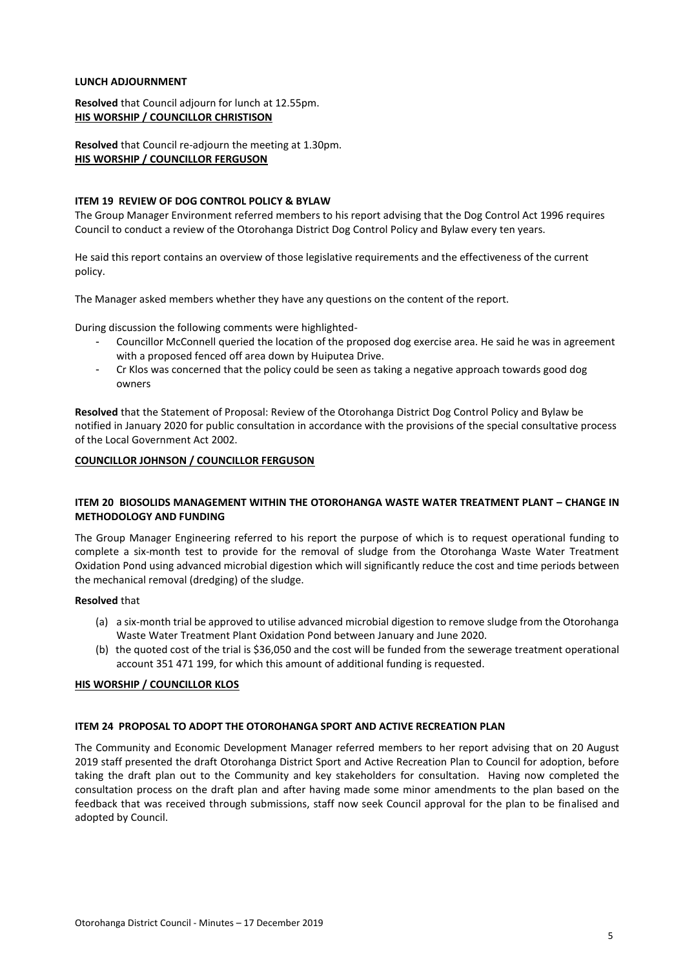#### **LUNCH ADJOURNMENT**

**Resolved** that Council adjourn for lunch at 12.55pm. **HIS WORSHIP / COUNCILLOR CHRISTISON**

**Resolved** that Council re-adjourn the meeting at 1.30pm. **HIS WORSHIP / COUNCILLOR FERGUSON**

#### **ITEM 19 REVIEW OF DOG CONTROL POLICY & BYLAW**

The Group Manager Environment referred members to his report advising that the Dog Control Act 1996 requires Council to conduct a review of the Otorohanga District Dog Control Policy and Bylaw every ten years.

He said this report contains an overview of those legislative requirements and the effectiveness of the current policy.

The Manager asked members whether they have any questions on the content of the report.

During discussion the following comments were highlighted-

- Councillor McConnell queried the location of the proposed dog exercise area. He said he was in agreement with a proposed fenced off area down by Huiputea Drive.
- Cr Klos was concerned that the policy could be seen as taking a negative approach towards good dog owners

**Resolved** that the Statement of Proposal: Review of the Otorohanga District Dog Control Policy and Bylaw be notified in January 2020 for public consultation in accordance with the provisions of the special consultative process of the Local Government Act 2002.

#### **COUNCILLOR JOHNSON / COUNCILLOR FERGUSON**

# **ITEM 20 BIOSOLIDS MANAGEMENT WITHIN THE OTOROHANGA WASTE WATER TREATMENT PLANT – CHANGE IN METHODOLOGY AND FUNDING**

The Group Manager Engineering referred to his report the purpose of which is to request operational funding to complete a six-month test to provide for the removal of sludge from the Otorohanga Waste Water Treatment Oxidation Pond using advanced microbial digestion which will significantly reduce the cost and time periods between the mechanical removal (dredging) of the sludge.

#### **Resolved** that

- (a) a six-month trial be approved to utilise advanced microbial digestion to remove sludge from the Otorohanga Waste Water Treatment Plant Oxidation Pond between January and June 2020.
- (b) the quoted cost of the trial is \$36,050 and the cost will be funded from the sewerage treatment operational account 351 471 199, for which this amount of additional funding is requested.

# **HIS WORSHIP / COUNCILLOR KLOS**

#### **ITEM 24 PROPOSAL TO ADOPT THE OTOROHANGA SPORT AND ACTIVE RECREATION PLAN**

The Community and Economic Development Manager referred members to her report advising that on 20 August 2019 staff presented the draft Otorohanga District Sport and Active Recreation Plan to Council for adoption, before taking the draft plan out to the Community and key stakeholders for consultation. Having now completed the consultation process on the draft plan and after having made some minor amendments to the plan based on the feedback that was received through submissions, staff now seek Council approval for the plan to be finalised and adopted by Council.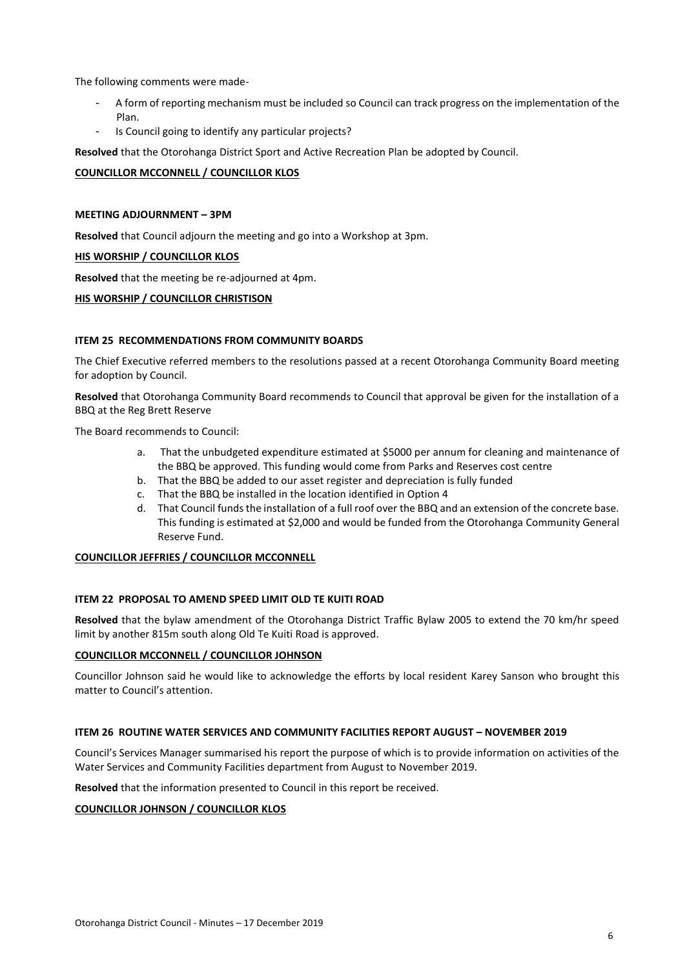The following comments were made-

- A form of reporting mechanism must be included so Council can track progress on the implementation of the Plan.
- Is Council going to identify any particular projects?

**Resolved** that the Otorohanga District Sport and Active Recreation Plan be adopted by Council.

# **COUNCILLOR MCCONNELL / COUNCILLOR KLOS**

# **MEETING ADJOURNMENT – 3PM**

**Resolved** that Council adjourn the meeting and go into a Workshop at 3pm.

# **HIS WORSHIP / COUNCILLOR KLOS**

**Resolved** that the meeting be re-adjourned at 4pm.

# **HIS WORSHIP / COUNCILLOR CHRISTISON**

# **ITEM 25 RECOMMENDATIONS FROM COMMUNITY BOARDS**

The Chief Executive referred members to the resolutions passed at a recent Otorohanga Community Board meeting for adoption by Council.

**Resolved** that Otorohanga Community Board recommends to Council that approval be given for the installation of a BBQ at the Reg Brett Reserve

The Board recommends to Council:

- a. That the unbudgeted expenditure estimated at \$5000 per annum for cleaning and maintenance of the BBQ be approved. This funding would come from Parks and Reserves cost centre
- b. That the BBQ be added to our asset register and depreciation is fully funded
- c. That the BBQ be installed in the location identified in Option 4
- d. That Council funds the installation of a full roof over the BBQ and an extension of the concrete base. This funding is estimated at \$2,000 and would be funded from the Otorohanga Community General Reserve Fund.

# **COUNCILLOR JEFFRIES / COUNCILLOR MCCONNELL**

# **ITEM 22 PROPOSAL TO AMEND SPEED LIMIT OLD TE KUITI ROAD**

**Resolved** that the bylaw amendment of the Otorohanga District Traffic Bylaw 2005 to extend the 70 km/hr speed limit by another 815m south along Old Te Kuiti Road is approved.

# **COUNCILLOR MCCONNELL / COUNCILLOR JOHNSON**

Councillor Johnson said he would like to acknowledge the efforts by local resident Karey Sanson who brought this matter to Council's attention.

# **ITEM 26 ROUTINE WATER SERVICES AND COMMUNITY FACILITIES REPORT AUGUST – NOVEMBER 2019**

Council's Services Manager summarised his report the purpose of which is to provide information on activities of the Water Services and Community Facilities department from August to November 2019.

**Resolved** that the information presented to Council in this report be received.

# **COUNCILLOR JOHNSON / COUNCILLOR KLOS**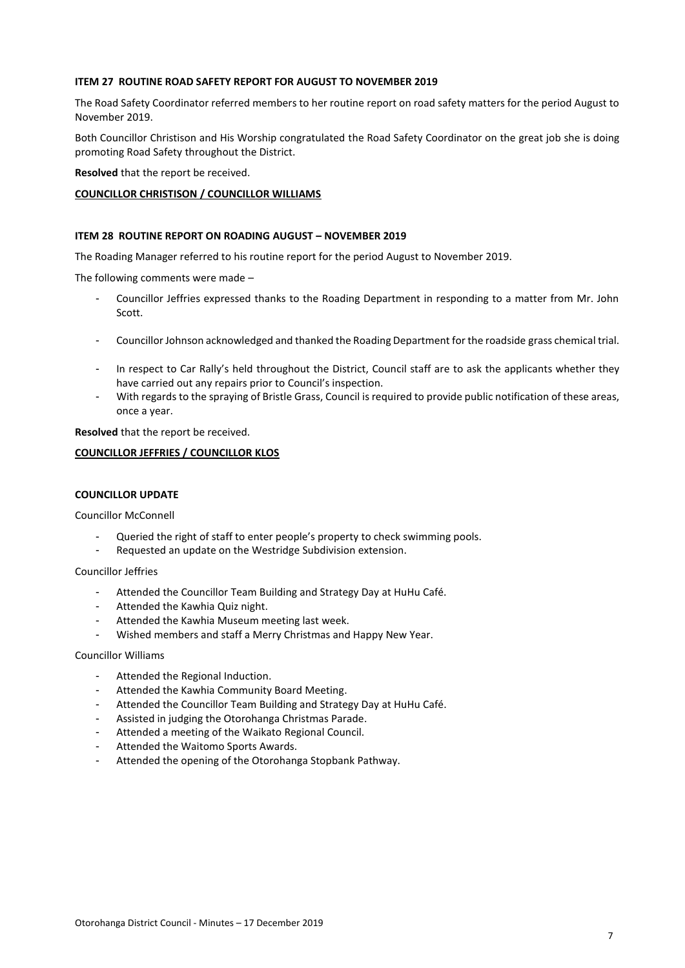## **ITEM 27 ROUTINE ROAD SAFETY REPORT FOR AUGUST TO NOVEMBER 2019**

The Road Safety Coordinator referred members to her routine report on road safety matters for the period August to November 2019.

Both Councillor Christison and His Worship congratulated the Road Safety Coordinator on the great job she is doing promoting Road Safety throughout the District.

**Resolved** that the report be received.

# **COUNCILLOR CHRISTISON / COUNCILLOR WILLIAMS**

#### **ITEM 28 ROUTINE REPORT ON ROADING AUGUST – NOVEMBER 2019**

The Roading Manager referred to his routine report for the period August to November 2019.

The following comments were made –

- Councillor Jeffries expressed thanks to the Roading Department in responding to a matter from Mr. John Scott.
- Councillor Johnson acknowledged and thanked the Roading Department for the roadside grass chemical trial.
- In respect to Car Rally's held throughout the District, Council staff are to ask the applicants whether they have carried out any repairs prior to Council's inspection.
- With regards to the spraying of Bristle Grass, Council is required to provide public notification of these areas, once a year.

**Resolved** that the report be received.

#### **COUNCILLOR JEFFRIES / COUNCILLOR KLOS**

#### **COUNCILLOR UPDATE**

Councillor McConnell

- Queried the right of staff to enter people's property to check swimming pools.
- Requested an update on the Westridge Subdivision extension.

#### Councillor Jeffries

- Attended the Councillor Team Building and Strategy Day at HuHu Café.
- Attended the Kawhia Quiz night.
- Attended the Kawhia Museum meeting last week.
- Wished members and staff a Merry Christmas and Happy New Year.

#### Councillor Williams

- Attended the Regional Induction.
- Attended the Kawhia Community Board Meeting.
- Attended the Councillor Team Building and Strategy Day at HuHu Café.
- Assisted in judging the Otorohanga Christmas Parade.
- Attended a meeting of the Waikato Regional Council.
- Attended the Waitomo Sports Awards.
- Attended the opening of the Otorohanga Stopbank Pathway.